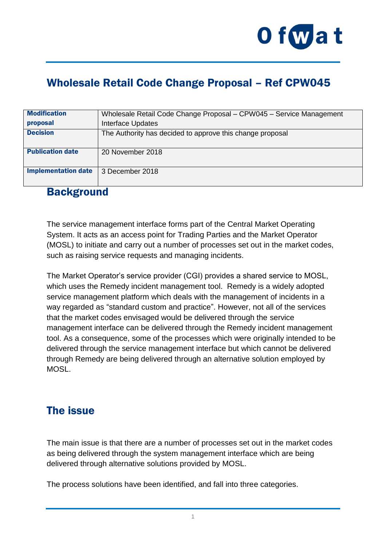

# Wholesale Retail Code Change Proposal – Ref CPW045

| <b>Modification</b>        | Wholesale Retail Code Change Proposal - CPW045 - Service Management |
|----------------------------|---------------------------------------------------------------------|
| proposal                   | Interface Updates                                                   |
| <b>Decision</b>            | The Authority has decided to approve this change proposal           |
| <b>Publication date</b>    | 20 November 2018                                                    |
| <b>Implementation date</b> | 3 December 2018                                                     |

#### **Background**

The service management interface forms part of the Central Market Operating System. It acts as an access point for Trading Parties and the Market Operator (MOSL) to initiate and carry out a number of processes set out in the market codes, such as raising service requests and managing incidents.

The Market Operator's service provider (CGI) provides a shared service to MOSL, which uses the Remedy incident management tool. Remedy is a widely adopted service management platform which deals with the management of incidents in a way regarded as "standard custom and practice". However, not all of the services that the market codes envisaged would be delivered through the service management interface can be delivered through the Remedy incident management tool. As a consequence, some of the processes which were originally intended to be delivered through the service management interface but which cannot be delivered through Remedy are being delivered through an alternative solution employed by **MOSL** 

#### The issue

The main issue is that there are a number of processes set out in the market codes as being delivered through the system management interface which are being delivered through alternative solutions provided by MOSL.

The process solutions have been identified, and fall into three categories.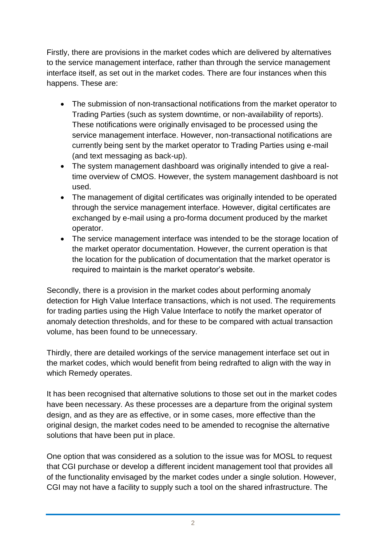Firstly, there are provisions in the market codes which are delivered by alternatives to the service management interface, rather than through the service management interface itself, as set out in the market codes. There are four instances when this happens. These are:

- The submission of non-transactional notifications from the market operator to Trading Parties (such as system downtime, or non-availability of reports). These notifications were originally envisaged to be processed using the service management interface. However, non-transactional notifications are currently being sent by the market operator to Trading Parties using e-mail (and text messaging as back-up).
- The system management dashboard was originally intended to give a realtime overview of CMOS. However, the system management dashboard is not used.
- The management of digital certificates was originally intended to be operated through the service management interface. However, digital certificates are exchanged by e-mail using a pro-forma document produced by the market operator.
- The service management interface was intended to be the storage location of the market operator documentation. However, the current operation is that the location for the publication of documentation that the market operator is required to maintain is the market operator's website.

Secondly, there is a provision in the market codes about performing anomaly detection for High Value Interface transactions, which is not used. The requirements for trading parties using the High Value Interface to notify the market operator of anomaly detection thresholds, and for these to be compared with actual transaction volume, has been found to be unnecessary.

Thirdly, there are detailed workings of the service management interface set out in the market codes, which would benefit from being redrafted to align with the way in which Remedy operates.

It has been recognised that alternative solutions to those set out in the market codes have been necessary. As these processes are a departure from the original system design, and as they are as effective, or in some cases, more effective than the original design, the market codes need to be amended to recognise the alternative solutions that have been put in place.

One option that was considered as a solution to the issue was for MOSL to request that CGI purchase or develop a different incident management tool that provides all of the functionality envisaged by the market codes under a single solution. However, CGI may not have a facility to supply such a tool on the shared infrastructure. The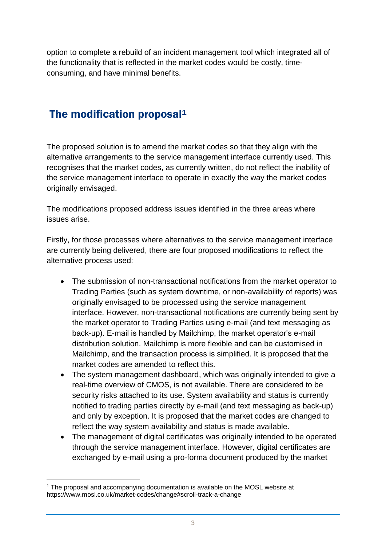option to complete a rebuild of an incident management tool which integrated all of the functionality that is reflected in the market codes would be costly, timeconsuming, and have minimal benefits.

# The modification proposal<sup>1</sup>

The proposed solution is to amend the market codes so that they align with the alternative arrangements to the service management interface currently used. This recognises that the market codes, as currently written, do not reflect the inability of the service management interface to operate in exactly the way the market codes originally envisaged.

The modifications proposed address issues identified in the three areas where issues arise.

Firstly, for those processes where alternatives to the service management interface are currently being delivered, there are four proposed modifications to reflect the alternative process used:

- The submission of non-transactional notifications from the market operator to Trading Parties (such as system downtime, or non-availability of reports) was originally envisaged to be processed using the service management interface. However, non-transactional notifications are currently being sent by the market operator to Trading Parties using e-mail (and text messaging as back-up). E-mail is handled by Mailchimp, the market operator's e-mail distribution solution. Mailchimp is more flexible and can be customised in Mailchimp, and the transaction process is simplified. It is proposed that the market codes are amended to reflect this.
- The system management dashboard, which was originally intended to give a real-time overview of CMOS, is not available. There are considered to be security risks attached to its use. System availability and status is currently notified to trading parties directly by e-mail (and text messaging as back-up) and only by exception. It is proposed that the market codes are changed to reflect the way system availability and status is made available.
- The management of digital certificates was originally intended to be operated through the service management interface. However, digital certificates are exchanged by e-mail using a pro-forma document produced by the market

1

<sup>&</sup>lt;sup>1</sup> The proposal and accompanying documentation is available on the MOSL website at https://www.mosl.co.uk/market-codes/change#scroll-track-a-change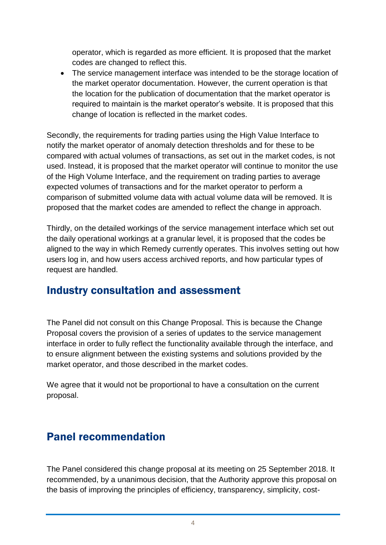operator, which is regarded as more efficient. It is proposed that the market codes are changed to reflect this.

 The service management interface was intended to be the storage location of the market operator documentation. However, the current operation is that the location for the publication of documentation that the market operator is required to maintain is the market operator's website. It is proposed that this change of location is reflected in the market codes.

Secondly, the requirements for trading parties using the High Value Interface to notify the market operator of anomaly detection thresholds and for these to be compared with actual volumes of transactions, as set out in the market codes, is not used. Instead, it is proposed that the market operator will continue to monitor the use of the High Volume Interface, and the requirement on trading parties to average expected volumes of transactions and for the market operator to perform a comparison of submitted volume data with actual volume data will be removed. It is proposed that the market codes are amended to reflect the change in approach.

Thirdly, on the detailed workings of the service management interface which set out the daily operational workings at a granular level, it is proposed that the codes be aligned to the way in which Remedy currently operates. This involves setting out how users log in, and how users access archived reports, and how particular types of request are handled.

#### Industry consultation and assessment

The Panel did not consult on this Change Proposal. This is because the Change Proposal covers the provision of a series of updates to the service management interface in order to fully reflect the functionality available through the interface, and to ensure alignment between the existing systems and solutions provided by the market operator, and those described in the market codes.

We agree that it would not be proportional to have a consultation on the current proposal.

### Panel recommendation

The Panel considered this change proposal at its meeting on 25 September 2018. It recommended, by a unanimous decision, that the Authority approve this proposal on the basis of improving the principles of efficiency, transparency, simplicity, cost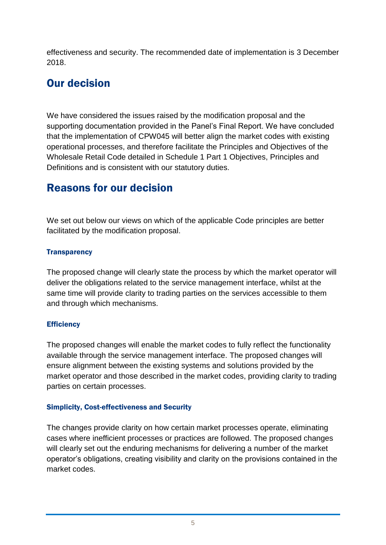effectiveness and security. The recommended date of implementation is 3 December 2018.

# Our decision

We have considered the issues raised by the modification proposal and the supporting documentation provided in the Panel's Final Report. We have concluded that the implementation of CPW045 will better align the market codes with existing operational processes, and therefore facilitate the Principles and Objectives of the Wholesale Retail Code detailed in Schedule 1 Part 1 Objectives, Principles and Definitions and is consistent with our statutory duties.

# Reasons for our decision

We set out below our views on which of the applicable Code principles are better facilitated by the modification proposal.

#### **Transparency**

The proposed change will clearly state the process by which the market operator will deliver the obligations related to the service management interface, whilst at the same time will provide clarity to trading parties on the services accessible to them and through which mechanisms.

#### **Efficiency**

The proposed changes will enable the market codes to fully reflect the functionality available through the service management interface. The proposed changes will ensure alignment between the existing systems and solutions provided by the market operator and those described in the market codes, providing clarity to trading parties on certain processes.

#### Simplicity, Cost-effectiveness and Security

The changes provide clarity on how certain market processes operate, eliminating cases where inefficient processes or practices are followed. The proposed changes will clearly set out the enduring mechanisms for delivering a number of the market operator's obligations, creating visibility and clarity on the provisions contained in the market codes.